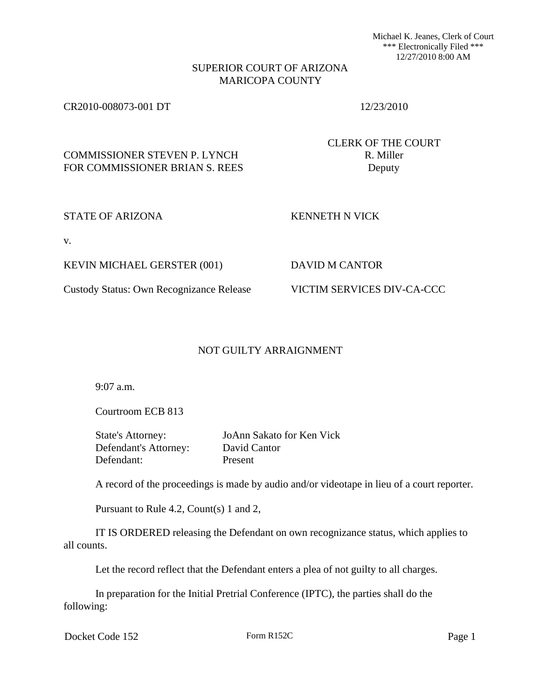Michael K. Jeanes, Clerk of Court \*\*\* Electronically Filed \*\*\* 12/27/2010 8:00 AM

## SUPERIOR COURT OF ARIZONA MARICOPA COUNTY

## CR2010-008073-001 DT 12/23/2010

CLERK OF THE COURT

# COMMISSIONER STEVEN P. LYNCH R. Miller FOR COMMISSIONER BRIAN S. REES Deputy

### STATE OF ARIZONA KENNETH N VICK

v.

KEVIN MICHAEL GERSTER (001) DAVID M CANTOR

## Custody Status: Own Recognizance Release VICTIM SERVICES DIV-CA-CCC

## NOT GUILTY ARRAIGNMENT

9:07 a.m.

Courtroom ECB 813

State's Attorney: JoAnn Sakato for Ken Vick Defendant's Attorney: David Cantor Defendant: Present

A record of the proceedings is made by audio and/or videotape in lieu of a court reporter.

Pursuant to Rule 4.2, Count(s) 1 and 2,

IT IS ORDERED releasing the Defendant on own recognizance status, which applies to all counts.

Let the record reflect that the Defendant enters a plea of not guilty to all charges.

In preparation for the Initial Pretrial Conference (IPTC), the parties shall do the following:

Docket Code 152 Form R152C Page 1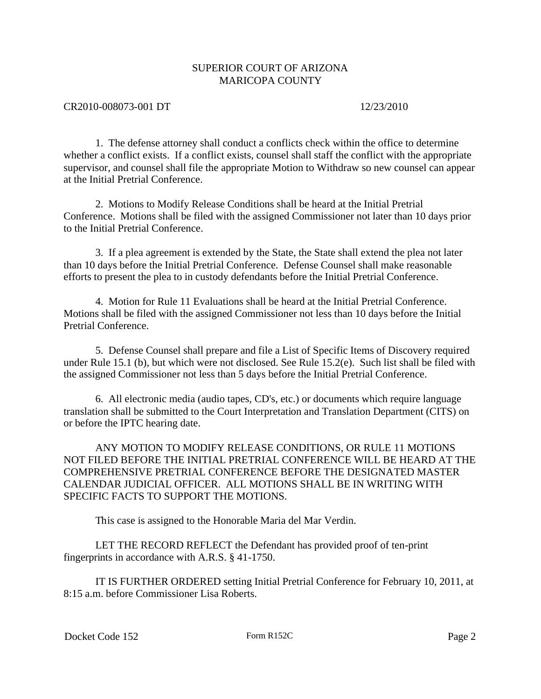## SUPERIOR COURT OF ARIZONA MARICOPA COUNTY

### CR2010-008073-001 DT 12/23/2010

1. The defense attorney shall conduct a conflicts check within the office to determine whether a conflict exists. If a conflict exists, counsel shall staff the conflict with the appropriate supervisor, and counsel shall file the appropriate Motion to Withdraw so new counsel can appear at the Initial Pretrial Conference.

2. Motions to Modify Release Conditions shall be heard at the Initial Pretrial Conference. Motions shall be filed with the assigned Commissioner not later than 10 days prior to the Initial Pretrial Conference.

3. If a plea agreement is extended by the State, the State shall extend the plea not later than 10 days before the Initial Pretrial Conference. Defense Counsel shall make reasonable efforts to present the plea to in custody defendants before the Initial Pretrial Conference.

4. Motion for Rule 11 Evaluations shall be heard at the Initial Pretrial Conference. Motions shall be filed with the assigned Commissioner not less than 10 days before the Initial Pretrial Conference.

5. Defense Counsel shall prepare and file a List of Specific Items of Discovery required under Rule 15.1 (b), but which were not disclosed. See Rule 15.2(e). Such list shall be filed with the assigned Commissioner not less than 5 days before the Initial Pretrial Conference.

6. All electronic media (audio tapes, CD's, etc.) or documents which require language translation shall be submitted to the Court Interpretation and Translation Department (CITS) on or before the IPTC hearing date.

ANY MOTION TO MODIFY RELEASE CONDITIONS, OR RULE 11 MOTIONS NOT FILED BEFORE THE INITIAL PRETRIAL CONFERENCE WILL BE HEARD AT THE COMPREHENSIVE PRETRIAL CONFERENCE BEFORE THE DESIGNATED MASTER CALENDAR JUDICIAL OFFICER. ALL MOTIONS SHALL BE IN WRITING WITH SPECIFIC FACTS TO SUPPORT THE MOTIONS.

This case is assigned to the Honorable Maria del Mar Verdin.

LET THE RECORD REFLECT the Defendant has provided proof of ten-print fingerprints in accordance with A.R.S. § 41-1750.

IT IS FURTHER ORDERED setting Initial Pretrial Conference for February 10, 2011, at 8:15 a.m. before Commissioner Lisa Roberts.